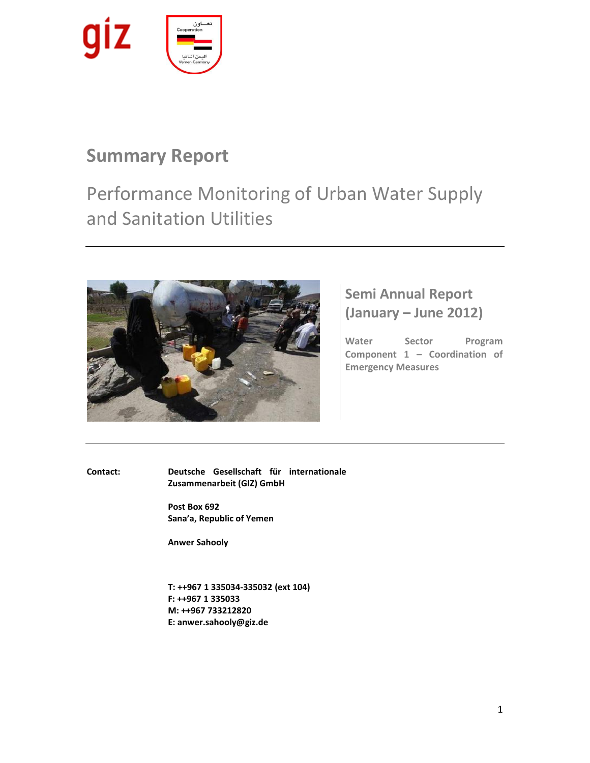

# **Summary Report**

Performance Monitoring of Urban Water Supply and Sanitation Utilities



# **Semi Annual Report (January – June 2012)**

**Water Sector Program Component 1 – Coordination of Emergency Measures**

**Contact: Deutsche Gesellschaft für internationale Zusammenarbeit (GIZ) GmbH**

> **Post Box 692 Sana'a, Republic of Yemen**

**Anwer Sahooly**

**T: ++967 1 335034-335032 (ext 104) F: ++967 1 335033 M: ++967 733212820 E: [anwer.sahooly@giz.de](mailto:anwer.sahooly@giz.de)**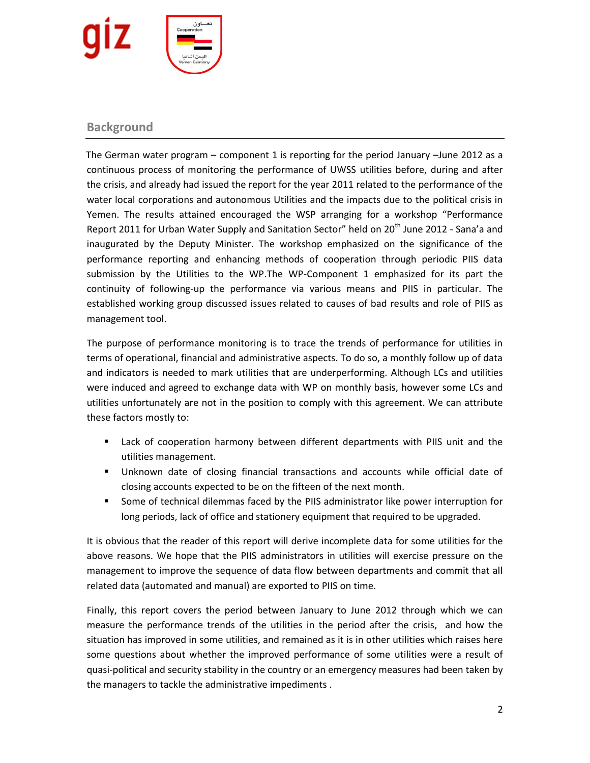

## **Background**

 The German water program – component 1 is reporting for the period January –June 2012 as a continuous process of monitoring the performance of UWSS utilities before, during and after the crisis, and already had issued the report for the year 2011 related to the performance of the water local corporations and autonomous Utilities and the impacts due to the political crisis in Yemen. The results attained encouraged the WSP arranging for a workshop "Performance Report 2011 for Urban Water Supply and Sanitation Sector" held on 20<sup>th</sup> June 2012 - Sana'a and inaugurated by the Deputy Minister. The workshop emphasized on the significance of the performance reporting and enhancing methods of cooperation through periodic PIIS data submission by the Utilities to the WP.The WP-Component 1 emphasized for its part the continuity of following-up the performance via various means and PIIS in particular. The established working group discussed issues related to causes of bad results and role of PIIS as management tool.

The purpose of performance monitoring is to trace the trends of performance for utilities in terms of operational, financial and administrative aspects. To do so, a monthly follow up of data and indicators is needed to mark utilities that are underperforming. Although LCs and utilities were induced and agreed to exchange data with WP on monthly basis, however some LCs and utilities unfortunately are not in the position to comply with this agreement. We can attribute these factors mostly to:

- Lack of cooperation harmony between different departments with PIIS unit and the utilities management.
- Unknown date of closing financial transactions and accounts while official date of closing accounts expected to be on the fifteen of the next month.
- Some of technical dilemmas faced by the PIIS administrator like power interruption for long periods, lack of office and stationery equipment that required to be upgraded.

It is obvious that the reader of this report will derive incomplete data for some utilities for the above reasons. We hope that the PIIS administrators in utilities will exercise pressure on the management to improve the sequence of data flow between departments and commit that all related data (automated and manual) are exported to PIIS on time.

Finally, this report covers the period between January to June 2012 through which we can measure the performance trends of the utilities in the period after the crisis, and how the situation has improved in some utilities, and remained as it is in other utilities which raises here some questions about whether the improved performance of some utilities were a result of quasi-political and security stability in the country or an emergency measures had been taken by the managers to tackle the administrative impediments .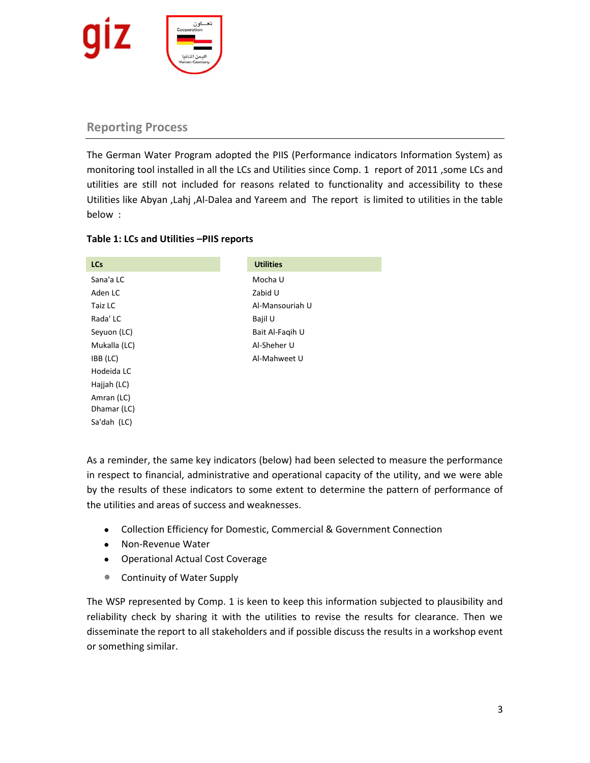

## **Reporting Process**

The German Water Program adopted the PIIS (Performance indicators Information System) as monitoring tool installed in all the LCs and Utilities since Comp. 1 report of 2011 ,some LCs and utilities are still not included for reasons related to functionality and accessibility to these Utilities like Abyan ,Lahj ,Al-Dalea and Yareem and The report is limited to utilities in the table below :

## **Table 1: LCs and Utilities –PIIS reports**

| <b>LCs</b>   | <b>Utilities</b> |
|--------------|------------------|
| Sana'a LC    | Mocha U          |
| Aden LC      | Zabid U          |
| Taiz LC      | Al-Mansouriah U  |
| Rada' LC     | Bajil U          |
| Seyuon (LC)  | Bait Al-Fagih U  |
| Mukalla (LC) | Al-Sheher U      |
| IBB (LC)     | Al-Mahweet U     |
| Hodeida LC   |                  |
| Hajjah (LC)  |                  |
| Amran (LC)   |                  |
| Dhamar (LC)  |                  |
| Sa'dah (LC)  |                  |

As a reminder, the same key indicators (below) had been selected to measure the performance in respect to financial, administrative and operational capacity of the utility, and we were able by the results of these indicators to some extent to determine the pattern of performance of the utilities and areas of success and weaknesses.

- Collection Efficiency for Domestic, Commercial & Government Connection
- Non-Revenue Water
- Operational Actual Cost Coverage
- Continuity of Water Supply

The WSP represented by Comp. 1 is keen to keep this information subjected to plausibility and reliability check by sharing it with the utilities to revise the results for clearance. Then we disseminate the report to all stakeholders and if possible discuss the results in a workshop event or something similar.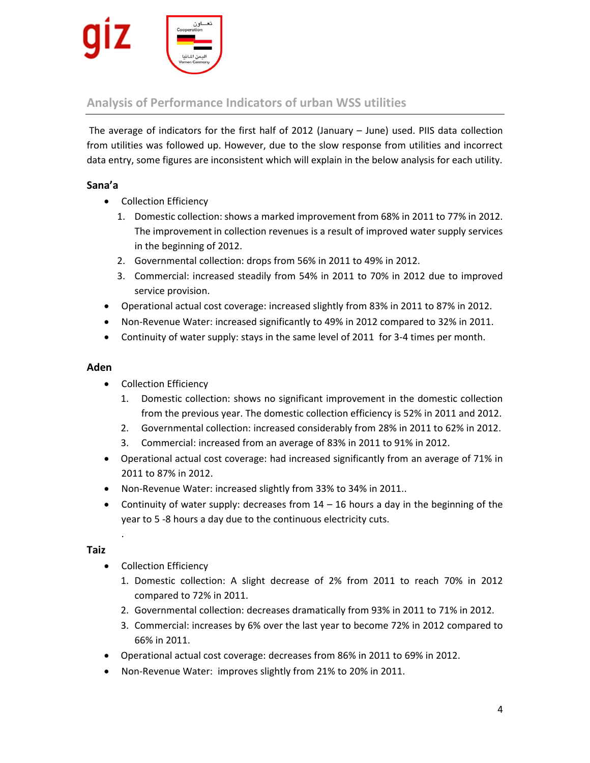

## **Analysis of Performance Indicators of urban WSS utilities**

The average of indicators for the first half of 2012 (January – June) used. PIIS data collection from utilities was followed up. However, due to the slow response from utilities and incorrect data entry, some figures are inconsistent which will explain in the below analysis for each utility.

## **Sana'a**

- Collection Efficiency
	- 1. Domestic collection: shows a marked improvement from 68% in 2011 to 77% in 2012. The improvement in collection revenues is a result of improved water supply services in the beginning of 2012.
	- 2. Governmental collection: drops from 56% in 2011 to 49% in 2012.
	- 3. Commercial: increased steadily from 54% in 2011 to 70% in 2012 due to improved service provision.
- Operational actual cost coverage: increased slightly from 83% in 2011 to 87% in 2012.
- Non-Revenue Water: increased significantly to 49% in 2012 compared to 32% in 2011.
- Continuity of water supply: stays in the same level of 2011 for 3-4 times per month.

## **Aden**

- Collection Efficiency
	- 1. Domestic collection: shows no significant improvement in the domestic collection from the previous year. The domestic collection efficiency is 52% in 2011 and 2012.
	- 2. Governmental collection: increased considerably from 28% in 2011 to 62% in 2012.
	- 3. Commercial: increased from an average of 83% in 2011 to 91% in 2012.
- Operational actual cost coverage: had increased significantly from an average of 71% in 2011 to 87% in 2012.
- Non-Revenue Water: increased slightly from 33% to 34% in 2011..
- Continuity of water supply: decreases from  $14 16$  hours a day in the beginning of the year to 5 -8 hours a day due to the continuous electricity cuts.

## **Taiz**

.

- Collection Efficiency
	- 1. Domestic collection: A slight decrease of 2% from 2011 to reach 70% in 2012 compared to 72% in 2011.
	- 2. Governmental collection: decreases dramatically from 93% in 2011 to 71% in 2012.
	- 3. Commercial: increases by 6% over the last year to become 72% in 2012 compared to 66% in 2011.
- Operational actual cost coverage: decreases from 86% in 2011 to 69% in 2012.
- Non-Revenue Water: improves slightly from 21% to 20% in 2011.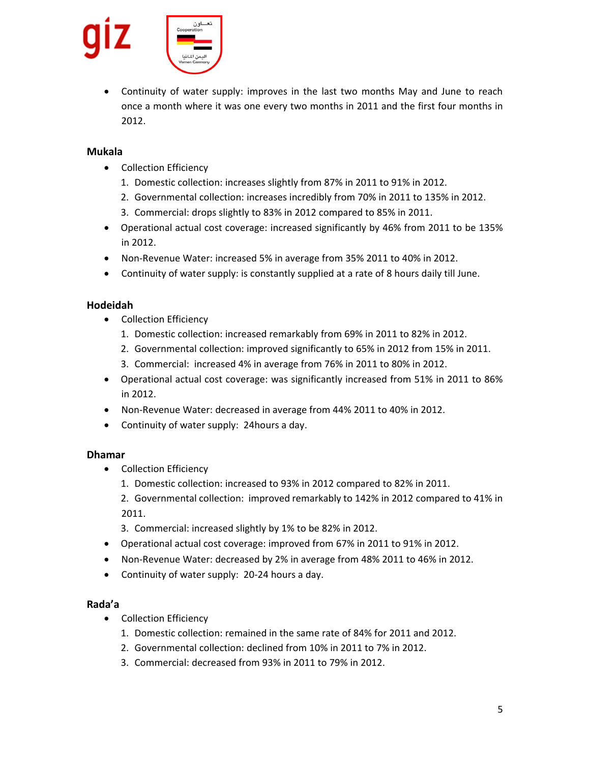

 Continuity of water supply: improves in the last two months May and June to reach once a month where it was one every two months in 2011 and the first four months in 2012.

## **Mukala**

- Collection Efficiency
	- 1. Domestic collection: increases slightly from 87% in 2011 to 91% in 2012.
	- 2. Governmental collection: increases incredibly from 70% in 2011 to 135% in 2012.
	- 3. Commercial: drops slightly to 83% in 2012 compared to 85% in 2011.
- Operational actual cost coverage: increased significantly by 46% from 2011 to be 135% in 2012.
- Non-Revenue Water: increased 5% in average from 35% 2011 to 40% in 2012.
- Continuity of water supply: is constantly supplied at a rate of 8 hours daily till June.

## **Hodeidah**

- Collection Efficiency
	- 1. Domestic collection: increased remarkably from 69% in 2011 to 82% in 2012.
	- 2. Governmental collection: improved significantly to 65% in 2012 from 15% in 2011.
	- 3. Commercial: increased 4% in average from 76% in 2011 to 80% in 2012.
- Operational actual cost coverage: was significantly increased from 51% in 2011 to 86% in 2012.
- Non-Revenue Water: decreased in average from 44% 2011 to 40% in 2012.
- Continuity of water supply: 24hours a day.

## **Dhamar**

- Collection Efficiency
	- 1. Domestic collection: increased to 93% in 2012 compared to 82% in 2011.
	- 2. Governmental collection: improved remarkably to 142% in 2012 compared to 41% in 2011.
	- 3. Commercial: increased slightly by 1% to be 82% in 2012.
- Operational actual cost coverage: improved from 67% in 2011 to 91% in 2012.
- Non-Revenue Water: decreased by 2% in average from 48% 2011 to 46% in 2012.
- Continuity of water supply: 20-24 hours a day.

## **Rada'a**

- Collection Efficiency
	- 1. Domestic collection: remained in the same rate of 84% for 2011 and 2012.
	- 2. Governmental collection: declined from 10% in 2011 to 7% in 2012.
	- 3. Commercial: decreased from 93% in 2011 to 79% in 2012.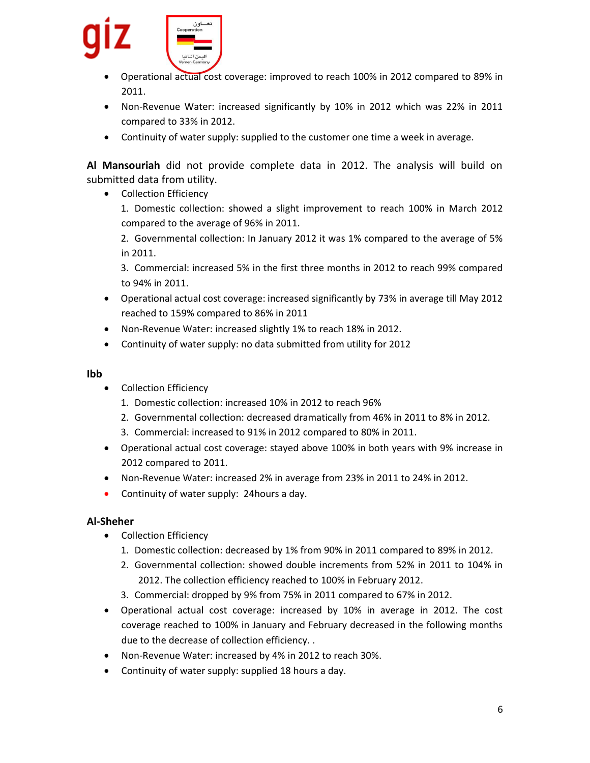

- Operational actual cost coverage: improved to reach 100% in 2012 compared to 89% in 2011.
- Non-Revenue Water: increased significantly by 10% in 2012 which was 22% in 2011 compared to 33% in 2012.
- Continuity of water supply: supplied to the customer one time a week in average.

**Al Mansouriah** did not provide complete data in 2012. The analysis will build on submitted data from utility.

• Collection Efficiency

1. Domestic collection: showed a slight improvement to reach 100% in March 2012 compared to the average of 96% in 2011.

2. Governmental collection: In January 2012 it was 1% compared to the average of 5% in 2011.

3. Commercial: increased 5% in the first three months in 2012 to reach 99% compared to 94% in 2011.

- Operational actual cost coverage: increased significantly by 73% in average till May 2012 reached to 159% compared to 86% in 2011
- Non-Revenue Water: increased slightly 1% to reach 18% in 2012.
- Continuity of water supply: no data submitted from utility for 2012

## **Ibb**

- Collection Efficiency
	- 1. Domestic collection: increased 10% in 2012 to reach 96%
	- 2. Governmental collection: decreased dramatically from 46% in 2011 to 8% in 2012.
	- 3. Commercial: increased to 91% in 2012 compared to 80% in 2011.
- Operational actual cost coverage: stayed above 100% in both years with 9% increase in 2012 compared to 2011.
- Non-Revenue Water: increased 2% in average from 23% in 2011 to 24% in 2012.
- Continuity of water supply: 24 hours a day.

## **Al-Sheher**

- Collection Efficiency
	- 1. Domestic collection: decreased by 1% from 90% in 2011 compared to 89% in 2012.
	- 2. Governmental collection: showed double increments from 52% in 2011 to 104% in 2012. The collection efficiency reached to 100% in February 2012.
	- 3. Commercial: dropped by 9% from 75% in 2011 compared to 67% in 2012.
- Operational actual cost coverage: increased by 10% in average in 2012. The cost coverage reached to 100% in January and February decreased in the following months due to the decrease of collection efficiency. .
- Non-Revenue Water: increased by 4% in 2012 to reach 30%.
- Continuity of water supply: supplied 18 hours a day.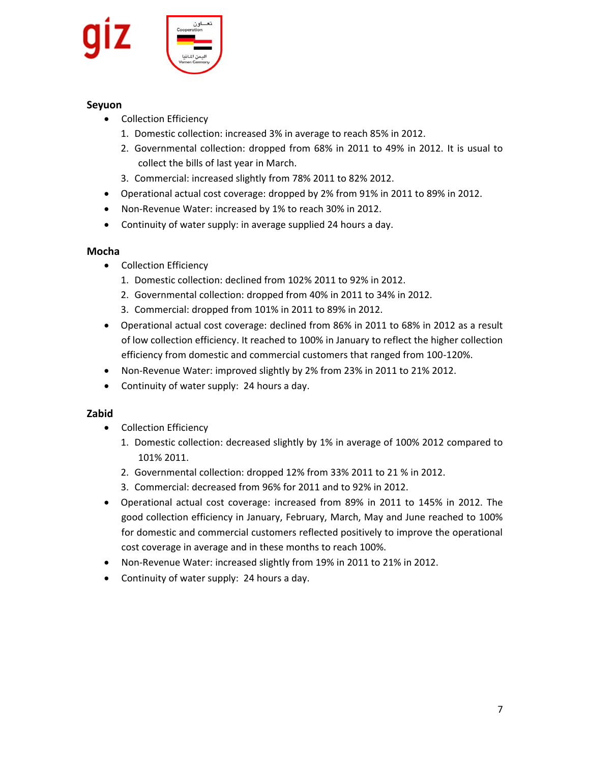

## **Seyuon**

- Collection Efficiency
	- 1. Domestic collection: increased 3% in average to reach 85% in 2012.
	- 2. Governmental collection: dropped from 68% in 2011 to 49% in 2012. It is usual to collect the bills of last year in March.
	- 3. Commercial: increased slightly from 78% 2011 to 82% 2012.
- Operational actual cost coverage: dropped by 2% from 91% in 2011 to 89% in 2012.
- Non-Revenue Water: increased by 1% to reach 30% in 2012.
- Continuity of water supply: in average supplied 24 hours a day.

## **Mocha**

- Collection Efficiency
	- 1. Domestic collection: declined from 102% 2011 to 92% in 2012.
	- 2. Governmental collection: dropped from 40% in 2011 to 34% in 2012.
	- 3. Commercial: dropped from 101% in 2011 to 89% in 2012.
- Operational actual cost coverage: declined from 86% in 2011 to 68% in 2012 as a result of low collection efficiency. It reached to 100% in January to reflect the higher collection efficiency from domestic and commercial customers that ranged from 100-120%.
- Non-Revenue Water: improved slightly by 2% from 23% in 2011 to 21% 2012.
- Continuity of water supply: 24 hours a day.

## **Zabid**

- Collection Efficiency
	- 1. Domestic collection: decreased slightly by 1% in average of 100% 2012 compared to 101% 2011.
	- 2. Governmental collection: dropped 12% from 33% 2011 to 21 % in 2012.
	- 3. Commercial: decreased from 96% for 2011 and to 92% in 2012.
- Operational actual cost coverage: increased from 89% in 2011 to 145% in 2012. The good collection efficiency in January, February, March, May and June reached to 100% for domestic and commercial customers reflected positively to improve the operational cost coverage in average and in these months to reach 100%.
- Non-Revenue Water: increased slightly from 19% in 2011 to 21% in 2012.
- Continuity of water supply: 24 hours a day.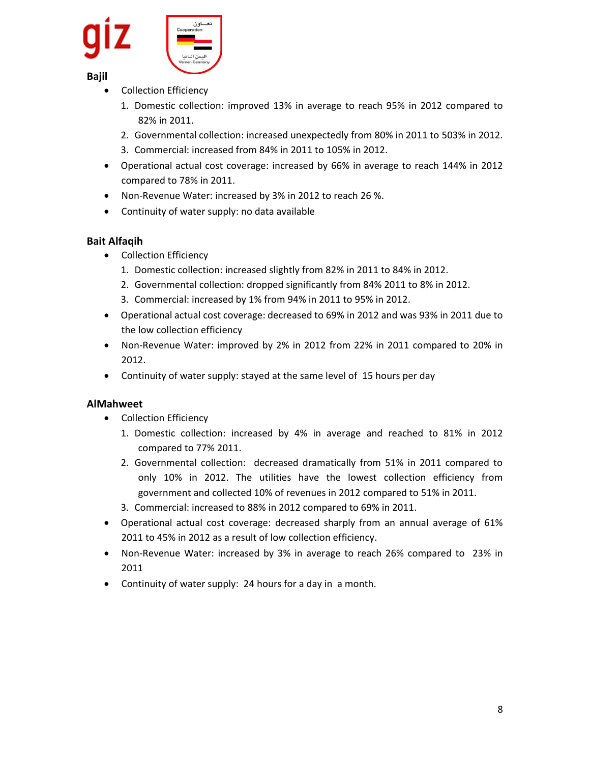

## **Bajil**

- Collection Efficiency
	- 1. Domestic collection: improved 13% in average to reach 95% in 2012 compared to 82% in 2011.
	- 2. Governmental collection: increased unexpectedly from 80% in 2011 to 503% in 2012.
	- 3. Commercial: increased from 84% in 2011 to 105% in 2012.
- Operational actual cost coverage: increased by 66% in average to reach 144% in 2012 compared to 78% in 2011.
- Non-Revenue Water: increased by 3% in 2012 to reach 26 %.
- Continuity of water supply: no data available

## **Bait Alfaqih**

- Collection Efficiency
	- 1. Domestic collection: increased slightly from 82% in 2011 to 84% in 2012.
	- 2. Governmental collection: dropped significantly from 84% 2011 to 8% in 2012.
	- 3. Commercial: increased by 1% from 94% in 2011 to 95% in 2012.
- Operational actual cost coverage: decreased to 69% in 2012 and was 93% in 2011 due to the low collection efficiency
- Non-Revenue Water: improved by 2% in 2012 from 22% in 2011 compared to 20% in 2012.
- Continuity of water supply: stayed at the same level of 15 hours per day

## **AlMahweet**

- Collection Efficiency
	- 1. Domestic collection: increased by 4% in average and reached to 81% in 2012 compared to 77% 2011.
	- 2. Governmental collection: decreased dramatically from 51% in 2011 compared to only 10% in 2012. The utilities have the lowest collection efficiency from government and collected 10% of revenues in 2012 compared to 51% in 2011.
	- 3. Commercial: increased to 88% in 2012 compared to 69% in 2011.
- Operational actual cost coverage: decreased sharply from an annual average of 61% 2011 to 45% in 2012 as a result of low collection efficiency.
- Non-Revenue Water: increased by 3% in average to reach 26% compared to 23% in 2011
- Continuity of water supply: 24 hours for a day in a month.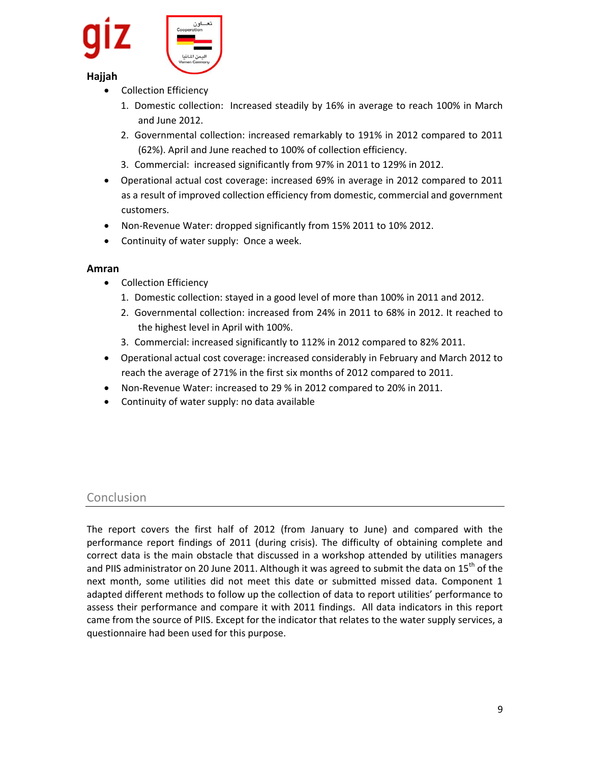

## **Hajjah**

- Collection Efficiency
	- 1. Domestic collection: Increased steadily by 16% in average to reach 100% in March and June 2012.
	- 2. Governmental collection: increased remarkably to 191% in 2012 compared to 2011 (62%). April and June reached to 100% of collection efficiency.
	- 3. Commercial: increased significantly from 97% in 2011 to 129% in 2012.
- Operational actual cost coverage: increased 69% in average in 2012 compared to 2011 as a result of improved collection efficiency from domestic, commercial and government customers.
- Non-Revenue Water: dropped significantly from 15% 2011 to 10% 2012.
- Continuity of water supply: Once a week.

## **Amran**

- Collection Efficiency
	- 1. Domestic collection: stayed in a good level of more than 100% in 2011 and 2012.
	- 2. Governmental collection: increased from 24% in 2011 to 68% in 2012. It reached to the highest level in April with 100%.
	- 3. Commercial: increased significantly to 112% in 2012 compared to 82% 2011.
- Operational actual cost coverage: increased considerably in February and March 2012 to reach the average of 271% in the first six months of 2012 compared to 2011.
- Non-Revenue Water: increased to 29 % in 2012 compared to 20% in 2011.
- Continuity of water supply: no data available

## **Conclusion**

The report covers the first half of 2012 (from January to June) and compared with the performance report findings of 2011 (during crisis). The difficulty of obtaining complete and correct data is the main obstacle that discussed in a workshop attended by utilities managers and PIIS administrator on 20 June 2011. Although it was agreed to submit the data on 15<sup>th</sup> of the next month, some utilities did not meet this date or submitted missed data. Component 1 adapted different methods to follow up the collection of data to report utilities' performance to assess their performance and compare it with 2011 findings. All data indicators in this report came from the source of PIIS. Except for the indicator that relates to the water supply services, a questionnaire had been used for this purpose.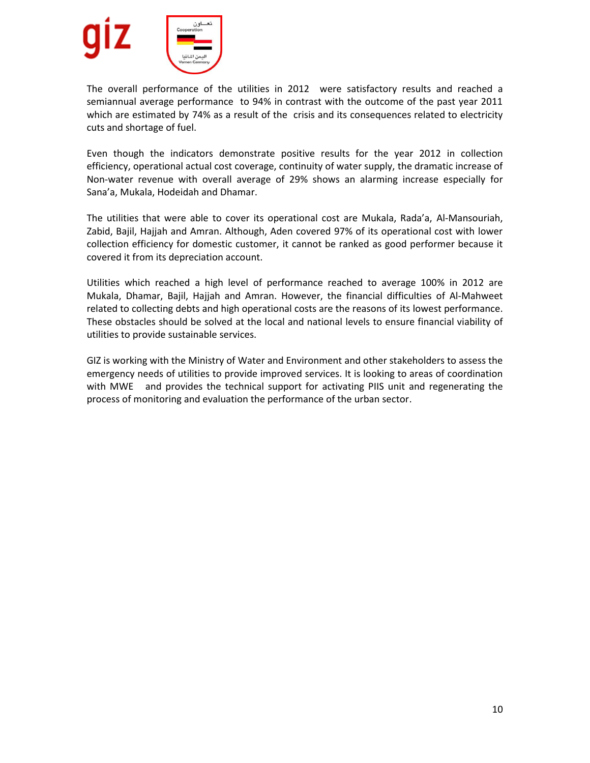

The overall performance of the utilities in 2012 were satisfactory results and reached a semiannual average performance to 94% in contrast with the outcome of the past year 2011 which are estimated by 74% as a result of the crisis and its consequences related to electricity cuts and shortage of fuel.

Even though the indicators demonstrate positive results for the year 2012 in collection efficiency, operational actual cost coverage, continuity of water supply, the dramatic increase of Non-water revenue with overall average of 29% shows an alarming increase especially for Sana'a, Mukala, Hodeidah and Dhamar.

The utilities that were able to cover its operational cost are Mukala, Rada'a, Al-Mansouriah, Zabid, Bajil, Hajjah and Amran. Although, Aden covered 97% of its operational cost with lower collection efficiency for domestic customer, it cannot be ranked as good performer because it covered it from its depreciation account.

Utilities which reached a high level of performance reached to average 100% in 2012 are Mukala, Dhamar, Bajil, Hajjah and Amran. However, the financial difficulties of Al-Mahweet related to collecting debts and high operational costs are the reasons of its lowest performance. These obstacles should be solved at the local and national levels to ensure financial viability of utilities to provide sustainable services.

GIZ is working with the Ministry of Water and Environment and other stakeholders to assess the emergency needs of utilities to provide improved services. It is looking to areas of coordination with MWE and provides the technical support for activating PIIS unit and regenerating the process of monitoring and evaluation the performance of the urban sector.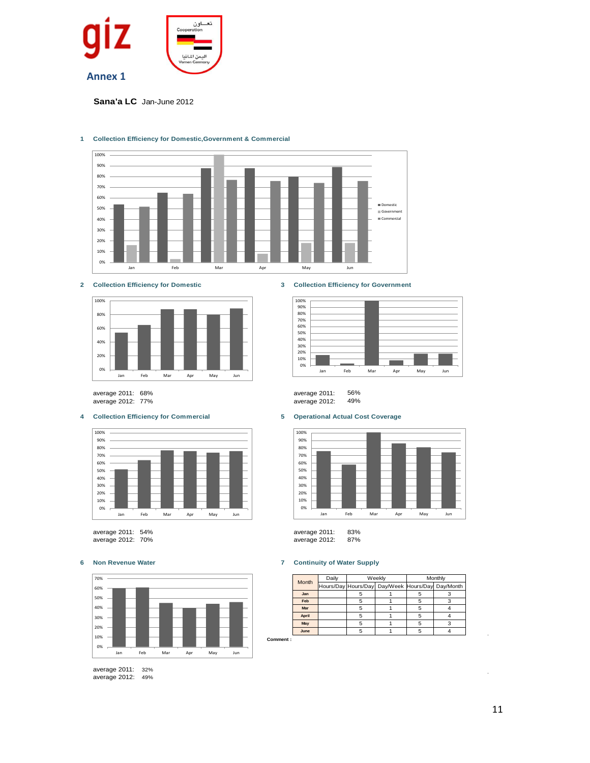

**Sana'a LC** Jan-June 2012



### **1 Collection Efficiency for Domestic,Government & Commercial**



average 2012: 77% average 2012: 49%

#### **4 Collection Efficiency for Commercial 5 Operational Actual Cost Coverage**



average 2011: 54% average 2011: 83% average 2012: 70%



average 2011: 32% average 2012: 49%

#### **2 Collection Efficiency for Domestic 3 Collection Efficiency for Government**



average 2011: 68% average 2011: 56%



### **6 Non Revenue Water 7 Continuity of Water Supply**

|          | Month | Daily | Weekly |                                                  | Monthly |   |
|----------|-------|-------|--------|--------------------------------------------------|---------|---|
|          |       |       |        | Hours/Day Hours/Day Day/Week Hours/Day Day/Month |         |   |
|          | Jan   |       |        |                                                  |         |   |
|          | Feb   |       |        |                                                  |         | 3 |
|          | Mar   |       |        |                                                  |         |   |
|          | April |       | 5      |                                                  |         |   |
|          | May   |       | 5      |                                                  | 5       | 3 |
|          | June  |       | 5      |                                                  |         |   |
| Comment: |       |       |        |                                                  |         |   |

11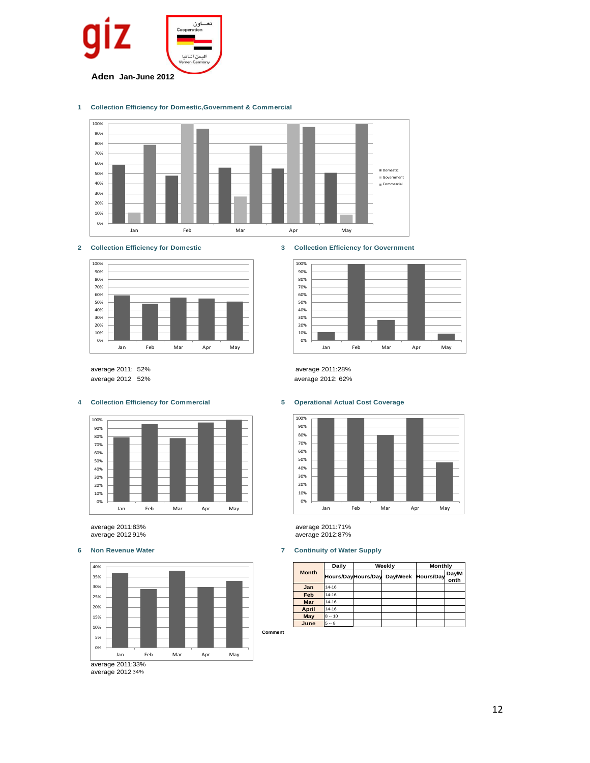

#### **1 Collection Efficiency for Domestic,Government & Commercial**





average 2011: 52% average 2012: 52%

### **4 Collection Efficiency for Commercial 5 Operational Actual Cost Coverage**



average 2011:83% average 2012 91%



average 2012:34%





average 2011:28% average 2012: 62%



average 2011:71% average 2012:87%

### **6 Non Revenue Water 7 Continuity of Water Supply**

| <b>Month</b> | Daily     | Weekly                                | Monthly |               |
|--------------|-----------|---------------------------------------|---------|---------------|
|              |           | Hours/DayHours/Day Day/Week Hours/Day |         | Day/M<br>onth |
| Jan          | $14 - 16$ |                                       |         |               |
| Feb          | $14 - 16$ |                                       |         |               |
| Mar          | $14 - 16$ |                                       |         |               |
| April        | $14 - 16$ |                                       |         |               |
| May          | $8 - 10$  |                                       |         |               |
| June         | $5 - 8$   |                                       |         |               |

12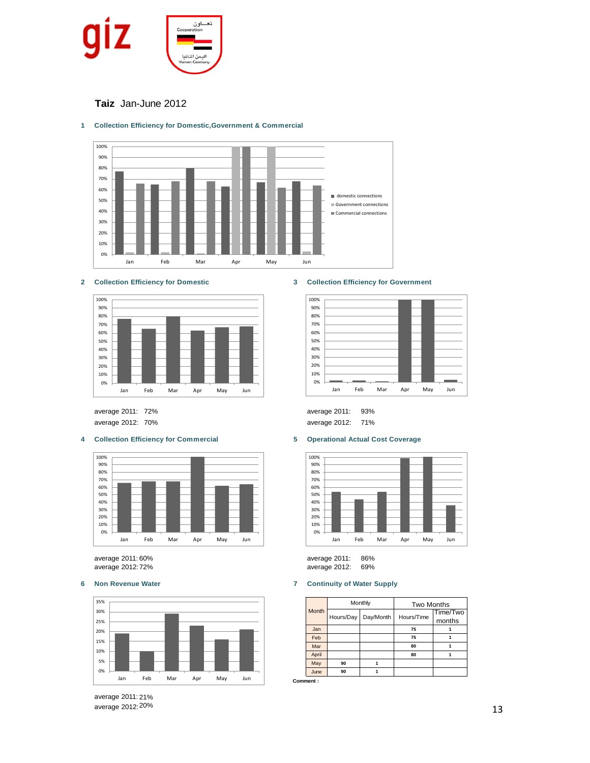

## **Taiz** Jan-June 2012



## **1 Collection Efficiency for Domestic,Government & Commercial**





average 2011:

### **4 Collection Efficiency for Commercial 5 Operational Actual Cost Coverage**



average 2012:72% average 2012: 69% average 2011: 60%



average 2011: 21% average 2012:20%

#### **2 Collection Efficiency for Domestic 3 Collection Efficiency for Government**







average 2011: 86%<br>average 2012: 69%

#### **6 Non Revenue Water 7 Continuity of Water Supply**

|              |           | Monthly   | <b>Two Months</b> |                    |  |
|--------------|-----------|-----------|-------------------|--------------------|--|
| <b>Month</b> | Hours/Day | Day/Month | Hours/Time        | Time/Two<br>months |  |
|              |           |           |                   |                    |  |
| Jan          |           |           | 75                |                    |  |
| Feb          |           |           | 75                |                    |  |
| Mar          |           |           | 80                |                    |  |
| April        |           |           | 80                |                    |  |
| May          | 90        |           |                   |                    |  |
| June         | 90        |           |                   |                    |  |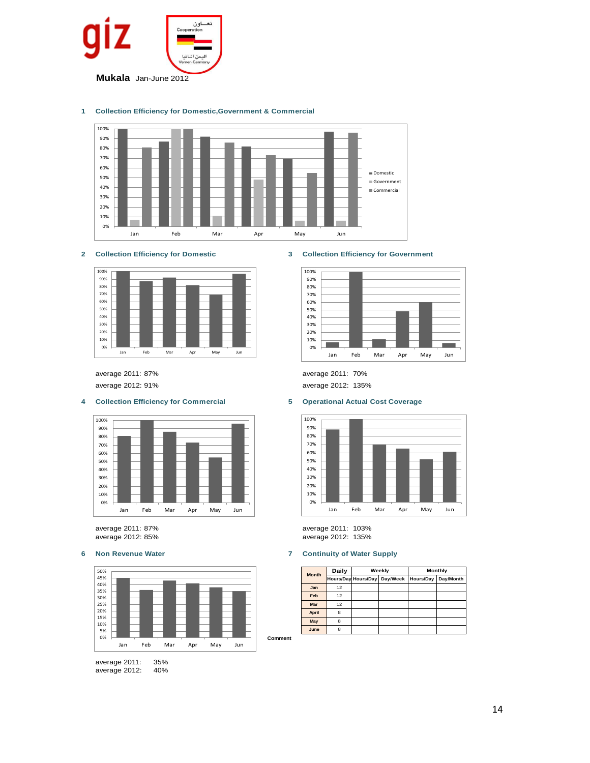

### **1 Collection Efficiency for Domestic,Government & Commercial**



### **2 Collection Efficiency for Domestic 3 Collection Efficiency for Government**



#### **4 Collection Efficiency for Commercial 5 Operational Actual Cost Coverage**





average 2011: 35% average 2012: 40%







average 2011: 87% average 2011: 103% average 2012: 135%

#### **6 Non Revenue Water 7 Continuity of Water Supply**

|  | <b>Month</b> | Daily | Weekly              |          | <b>Monthly</b> |           |
|--|--------------|-------|---------------------|----------|----------------|-----------|
|  |              |       | Hours/Day Hours/Day | Day/Week | Hours/Day      | Day/Month |
|  | Jan          | 12    |                     |          |                |           |
|  | Feb          | 12    |                     |          |                |           |
|  | <b>Mar</b>   | 12    |                     |          |                |           |
|  | April        | 8     |                     |          |                |           |
|  | May          | 8     |                     |          |                |           |
|  | June         | 8     |                     |          |                |           |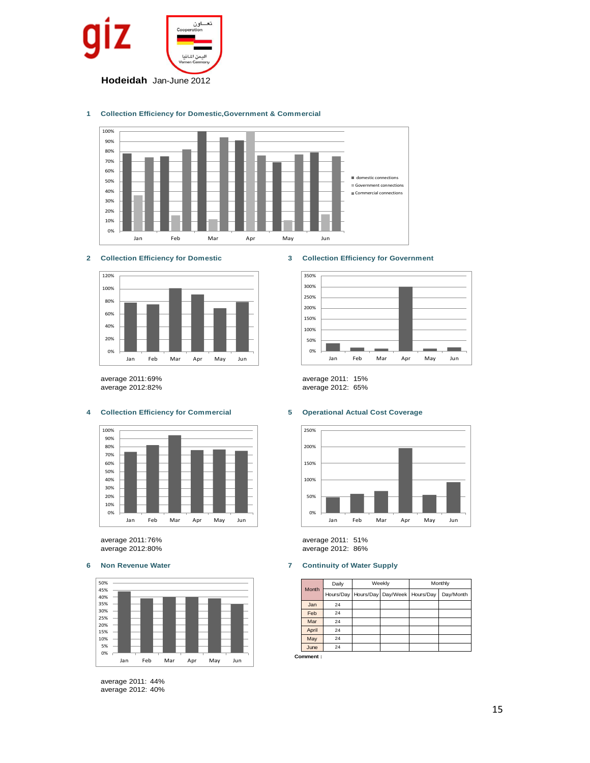

### **1 Collection Efficiency for Domestic,Government & Commercial**





### **4 Collection Efficiency for Commercial 5 Operational Actual Cost Coverage**



average 2011:76% average 2011: 51% average 2012:80% average 2012: 86%



average 2011: 44% average 2012: 40%

### **2 Collection Efficiency for Domestic 3 Collection Efficiency for Government**



average 2011:69% average 2011: 15% average 2012:82% average 2012: 65%



### **6 Non Revenue Water 7 Continuity of Water Supply**

|  | <b>Month</b> | Daily | Weekly                                       |  | Monthly |           |
|--|--------------|-------|----------------------------------------------|--|---------|-----------|
|  |              |       | Hours/Day   Hours/Day   Day/Week   Hours/Day |  |         | Day/Month |
|  | Jan          | 24    |                                              |  |         |           |
|  | Feb          | 24    |                                              |  |         |           |
|  | Mar          | 24    |                                              |  |         |           |
|  | April        | 24    |                                              |  |         |           |
|  | May          | 24    |                                              |  |         |           |
|  | June         | 24    |                                              |  |         |           |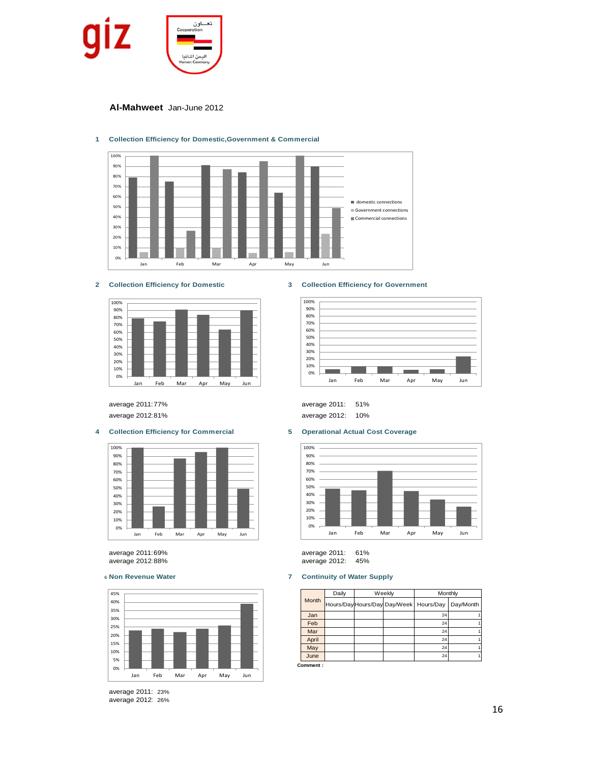

**Al-Mahweet** Jan-June 2012



### **1 Collection Efficiency for Domestic,Government & Commercial**





#### **4 Collection Efficiency for Commercial 5 Operational Actual Cost Coverage**



average 2011:69% average 2011: 61% average 2012:88% average 2012: 45%



average 2011: 23% average 2012: 26%

### **2 Collection Efficiency for Domestic 3 Collection Efficiency for Government**



average 2011:77% average 2011: 51% average 2012:81% average 2012: 10%



### <sup>6</sup> **Non Revenue Water 7 Continuity of Water Supply**

| <b>Month</b> | Daily |                                          | Weekly | Monthly |           |
|--------------|-------|------------------------------------------|--------|---------|-----------|
|              |       | Hours/Day Hours/Day Day/Week   Hours/Day |        |         | Day/Month |
| Jan          |       |                                          |        | 24      |           |
| Feb          |       |                                          |        | 24      |           |
| Mar          |       |                                          |        | 24      |           |
| April        |       |                                          |        | 24      |           |
| May          |       |                                          |        | 24      |           |
| June         |       |                                          |        | 24      |           |
| Comment :    |       |                                          |        |         |           |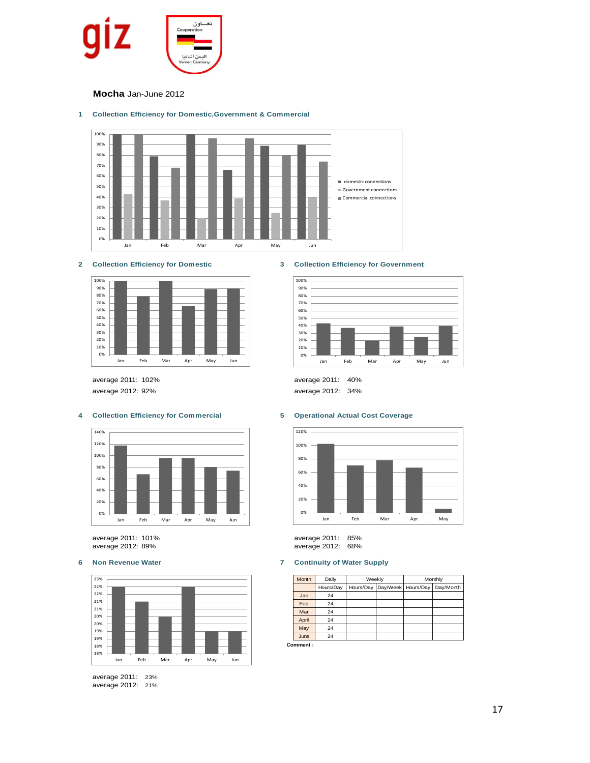

**Mocha** Jan-June 2012

#### **1 Collection Efficiency for Domestic,Government & Commercial**





average 2011: 102% average 2011: 40% average 2012: 92% average 2012: 34%

### **4 Collection Efficiency for Commercial 5 Operational Actual Cost Coverage**



average 2011: 101% average 2011: 85%



average 2011: 23% average 2012: 21%

### **2 Collection Efficiency for Domestic 3 Collection Efficiency for Government**





average 2012: 89% average 2012: 68%

### **6 Non Revenue Water 7 Continuity of Water Supply**

| Month | Daily     | Weekly |  | Monthly                      |           |
|-------|-----------|--------|--|------------------------------|-----------|
|       | Hours/Day |        |  | Hours/Day Day/Week Hours/Day | Day/Month |
| Jan   | 24        |        |  |                              |           |
| Feb   | 24        |        |  |                              |           |
| Mar   | 24        |        |  |                              |           |
| April | 24        |        |  |                              |           |
| May   | 24        |        |  |                              |           |
| June  | 24        |        |  |                              |           |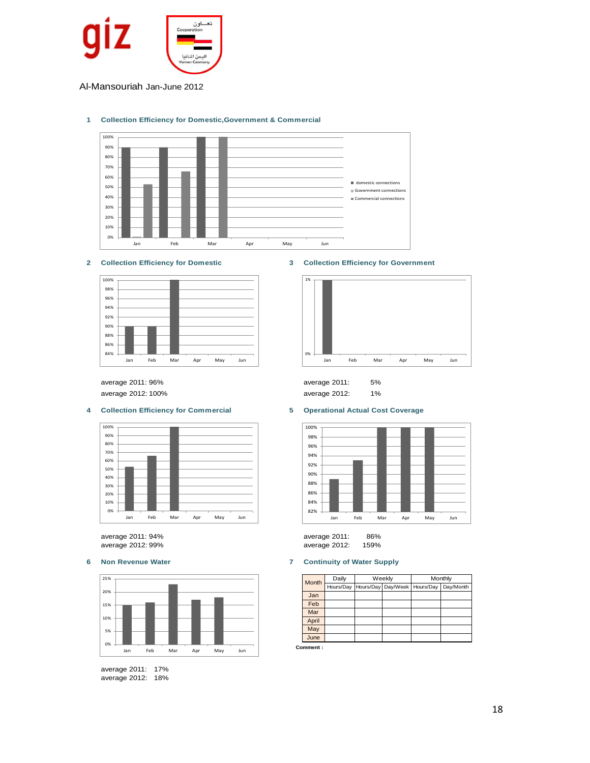

Al-Mansouriah Jan-June 2012

#### **1 Collection Efficiency for Domestic,Government & Commercial**



## **2 Collection Efficiency for Domestic 3 Collection Efficiency for Government**



average 2011: 96% average 2011: 5% average 2012: 100% average 2012: 1%

### **4 Collection Efficiency for Commercial 5 Operational Actual Cost Coverage**



average 2011: 94% average 2011: 86% average 2012: 99% average 2012: 159%



average 2011: 17% average 2012: 18%



| average 2011: |  |
|---------------|--|
| average 2012: |  |



| average 2011: | 86%  |
|---------------|------|
| average 2012: | 159% |

### **6 Non Revenue Water 7 Continuity of Water Supply**

| Month            | Daily     | Weekly |  | Monthly                        |           |  |  |
|------------------|-----------|--------|--|--------------------------------|-----------|--|--|
|                  | Hours/Day |        |  | Hours/Day Day/Week   Hours/Day | Day/Month |  |  |
| Jan              |           |        |  |                                |           |  |  |
| Feb              |           |        |  |                                |           |  |  |
| Mar              |           |        |  |                                |           |  |  |
| April            |           |        |  |                                |           |  |  |
| May              |           |        |  |                                |           |  |  |
| June             |           |        |  |                                |           |  |  |
| <b>Comment :</b> |           |        |  |                                |           |  |  |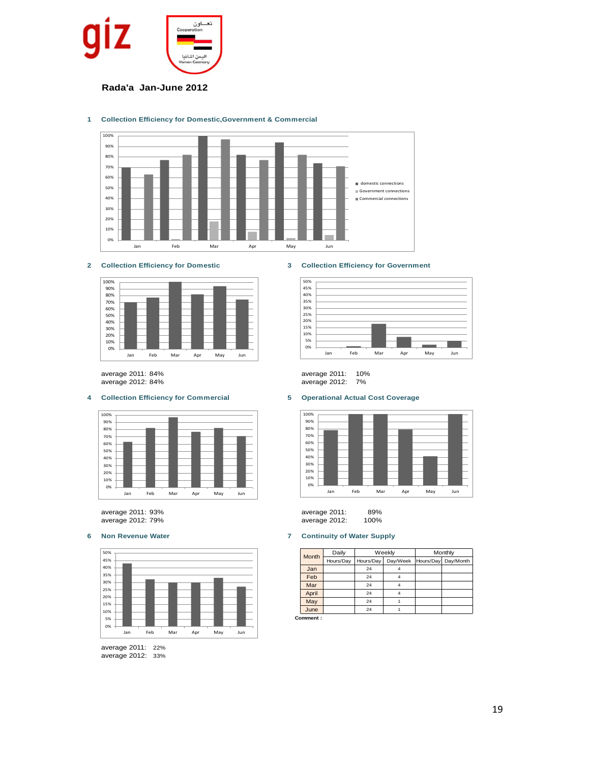

### **Rada'a Jan-June 2012**

#### **1 Collection Efficiency for Domestic,Government & Commercial**





### **4 Collection Efficiency for Commercial 5 Operational Actual Cost Coverage**



average 2012: 79% average 2012: 100%



average 2011: 22% average 2012: 33%

### **2 Collection Efficiency for Domestic 3 Collection Efficiency for Government**







average 2011: 93% average 2011: 89%

### **6 Non Revenue Water 7 Continuity of Water Supply**

| Month | Daily     | Weekly    |          | Monthly |                     |
|-------|-----------|-----------|----------|---------|---------------------|
|       | Hours/Day | Hours/Day | Day/Week |         | Hours/Day Day/Month |
| Jan   |           | 24        |          |         |                     |
| Feb   |           | 24        |          |         |                     |
| Mar   |           | 24        | 4        |         |                     |
| April |           | 24        | 4        |         |                     |
| May   |           | 24        |          |         |                     |
| June  |           | 24        |          |         |                     |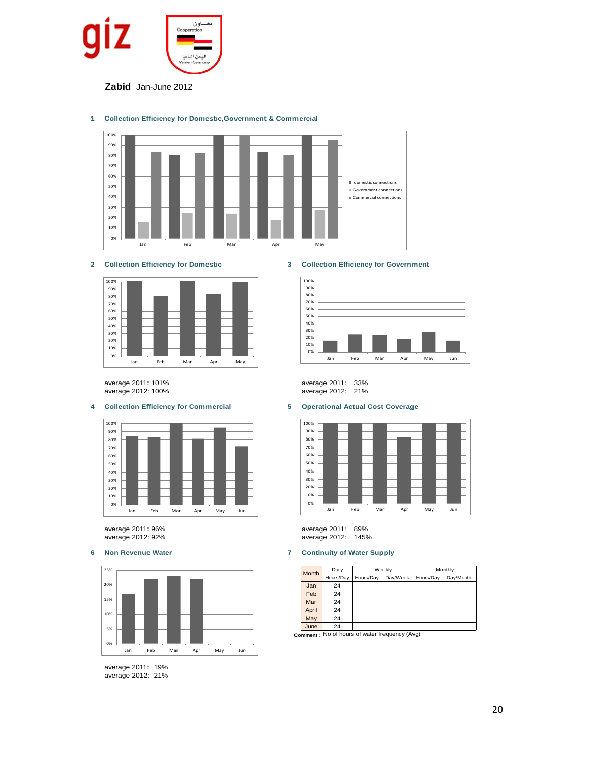

**Zabid** Jan-June 2012

### **1 Collection Efficiency for Domestic,Government & Commercial**





average 2011: 101% average 2011: 33%

### **4 Collection Efficiency for Commercial 5 Operational Actual Cost Coverage**



average 2011: 96% average 2011: 89%



average 2011: 19% average 2012: 21%

### **2 Collection Efficiency for Domestic 3 Collection Efficiency for Government**



average 2012: 21%



average 2012: 145%

### **6 Non Revenue Water 7 Continuity of Water Supply**

| Month | Daily     |           | Weekly                                         | Monthly   |           |  |  |
|-------|-----------|-----------|------------------------------------------------|-----------|-----------|--|--|
|       | Hours/Day | Hours/Dav | Day/Week                                       | Hours/Dav | Day/Month |  |  |
| Jan   | 24        |           |                                                |           |           |  |  |
| Feb   | 24        |           |                                                |           |           |  |  |
| Mar   | 24        |           |                                                |           |           |  |  |
| April | 24        |           |                                                |           |           |  |  |
| May   | 24        |           |                                                |           |           |  |  |
| June  | 24        |           |                                                |           |           |  |  |
|       |           |           | semment . No of hours of water frequency (Avg) |           |           |  |  |

**Comment :** No of hours of water frequency (Avg)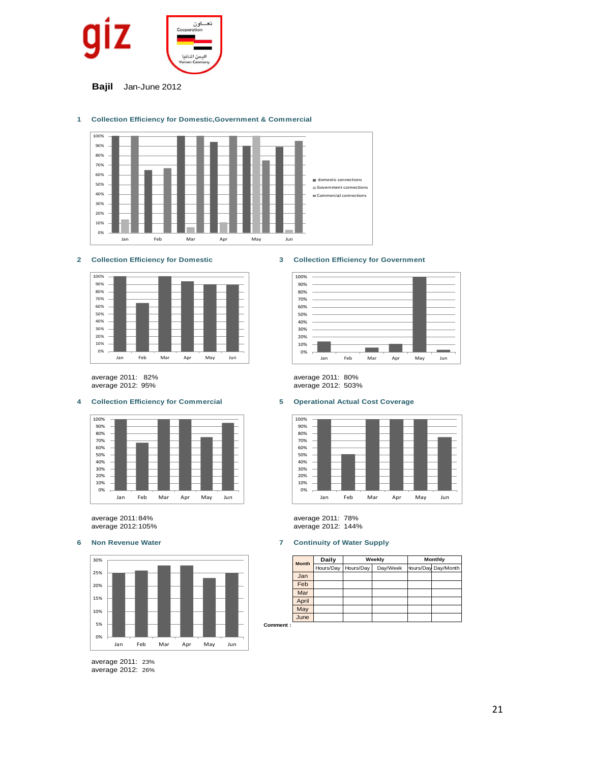

**Bajil** Jan-June 2012



### **1 Collection Efficiency for Domestic,Government & Commercial**





average 2011: 82% average 2011: 80%

### **4 Collection Efficiency for Commercial 5 Operational Actual Cost Coverage**





average 2011: 23% average 2012: 26%



# average 2012: 503%



average 2011:84% average 2011: 78% average 2012: 144%

Commen

### **6 Non Revenue Water 7 Continuity of Water Supply**

| <b>Month</b> | Daily     |           | Weekly   | <b>Monthly</b> |                     |  |  |
|--------------|-----------|-----------|----------|----------------|---------------------|--|--|
|              | Hours/Day | Hours/Day | Day/Week |                | Hours/Day Day/Month |  |  |
| Jan          |           |           |          |                |                     |  |  |
| Feb          |           |           |          |                |                     |  |  |
| Mar          |           |           |          |                |                     |  |  |
| April        |           |           |          |                |                     |  |  |
| May          |           |           |          |                |                     |  |  |
| June         |           |           |          |                |                     |  |  |
|              |           |           |          |                |                     |  |  |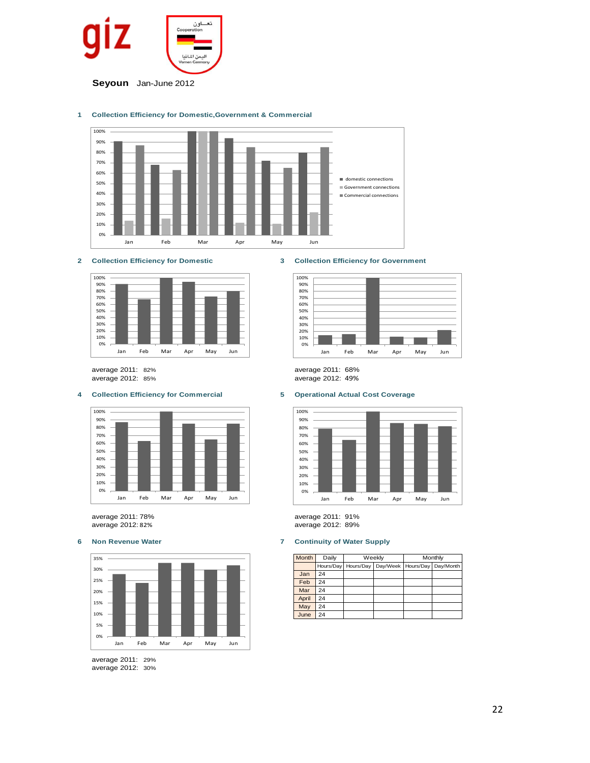

#### **1 Collection Efficiency for Domestic,Government & Commercial**



**2 Collection Efficiency for Domestic 3 Collection Efficiency for Government**



average 2011: 82% average 2011: 68% average 2012: 85% average 2012: 49%

### **4 Collection Efficiency for Commercial 5 Operational Actual Cost Coverage**





average 2011: 29% average 2012: 30%





average 2011: 78% average 2011: 91% average 2012: 82% average 2012: 89%

#### **6 Non Revenue Water 7 Continuity of Water Supply**

| <b>Month</b> | Daily     |           | Weekly   | Monthly   |           |  |  |
|--------------|-----------|-----------|----------|-----------|-----------|--|--|
|              | Hours/Day | Hours/Day | Day/Week | Hours/Day | Day/Month |  |  |
| Jan          | 24        |           |          |           |           |  |  |
| Feb          | 24        |           |          |           |           |  |  |
| Mar          | 24        |           |          |           |           |  |  |
| April        | 24        |           |          |           |           |  |  |
| May          | 24        |           |          |           |           |  |  |
| June         | 24        |           |          |           |           |  |  |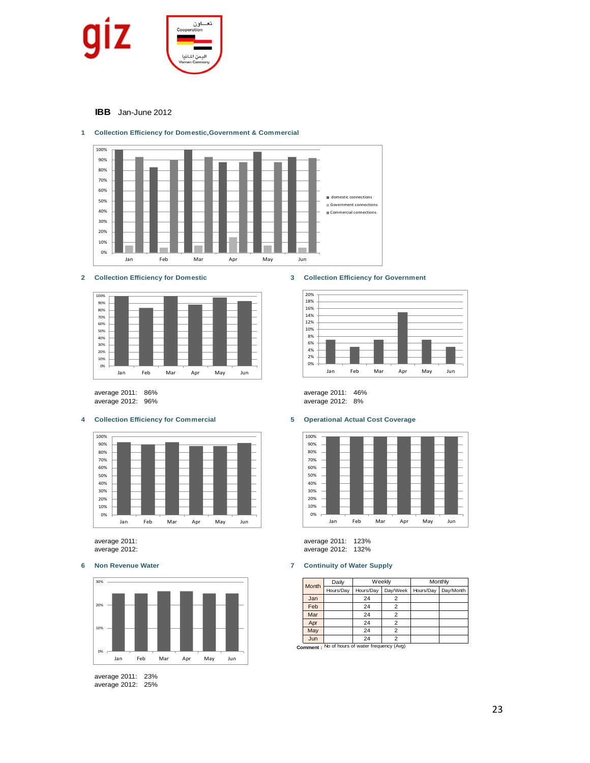

**IBB** Jan-June 2012



### **1 Collection Efficiency for Domestic,Government & Commercial**



average 2011: 86% average 2011: 46% average 2012: 96% average 2012: 8%

#### **4 Collection Efficiency for Commercial 5 Operational Actual Cost Coverage**





average 2011: 23% average 2012: 25%

### **2 Collection Efficiency for Domestic 3 Collection Efficiency for Government**





average 2011: average 2011: 123% average 2012: average 2012: 132%

### **6 Non Revenue Water 7 Continuity of Water Supply**

| Month | Daily     |           | Weekly   | Monthly   |           |  |  |
|-------|-----------|-----------|----------|-----------|-----------|--|--|
|       | Hours/Day | Hours/Day | Day/Week | Hours/Day | Day/Month |  |  |
| Jan   |           | 24        |          |           |           |  |  |
| Feb   |           | 24        | 2        |           |           |  |  |
| Mar   |           | 24        |          |           |           |  |  |
| Apr   |           | 24        | 2        |           |           |  |  |
| May   |           | 24        |          |           |           |  |  |
| Jun   |           | 24        |          |           |           |  |  |

**Jun** 24 2<br>**Comment** : No of hours of water frequency (Avg)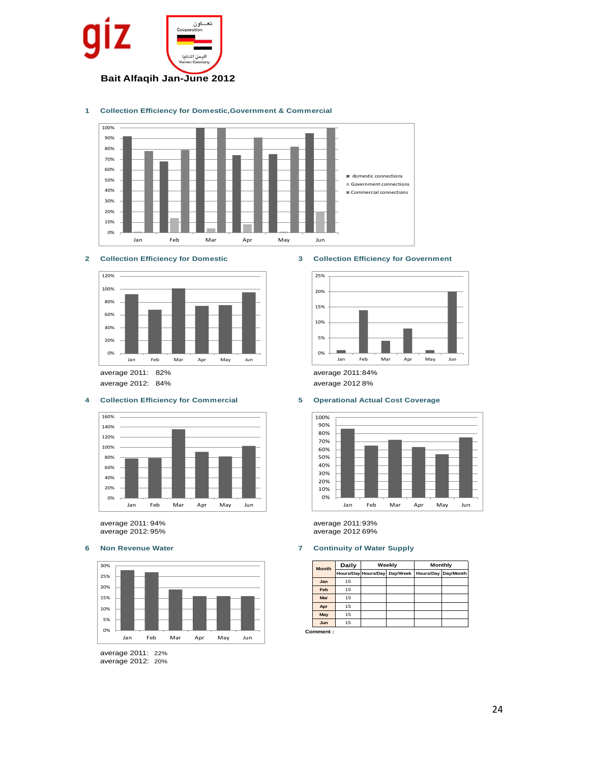





#### **2 Collection Efficiency for Domestic 3 Collection Efficiency for Government**



average 2012: 84% average 2012:8%

#### **4 Collection Efficiency for Commercial 5 Operational Actual Cost Coverage**





average 2011: 22% average 2012: 20%





average 2011: 94% average 2011:93% average 2012:95% average 2012:69%

### **6 Non Revenue Water 7 Continuity of Water Supply**

| <b>Month</b> | Daily |                     | Weekly   | Monthly             |  |  |  |
|--------------|-------|---------------------|----------|---------------------|--|--|--|
|              |       | Hours/Day Hours/Day | Day/Week | Hours/Day Day/Month |  |  |  |
| Jan          | 15    |                     |          |                     |  |  |  |
| Feb          | 15    |                     |          |                     |  |  |  |
| <b>Mar</b>   | 15    |                     |          |                     |  |  |  |
| Apr          | 15    |                     |          |                     |  |  |  |
| May          | 15    |                     |          |                     |  |  |  |
| Jun          | 15    |                     |          |                     |  |  |  |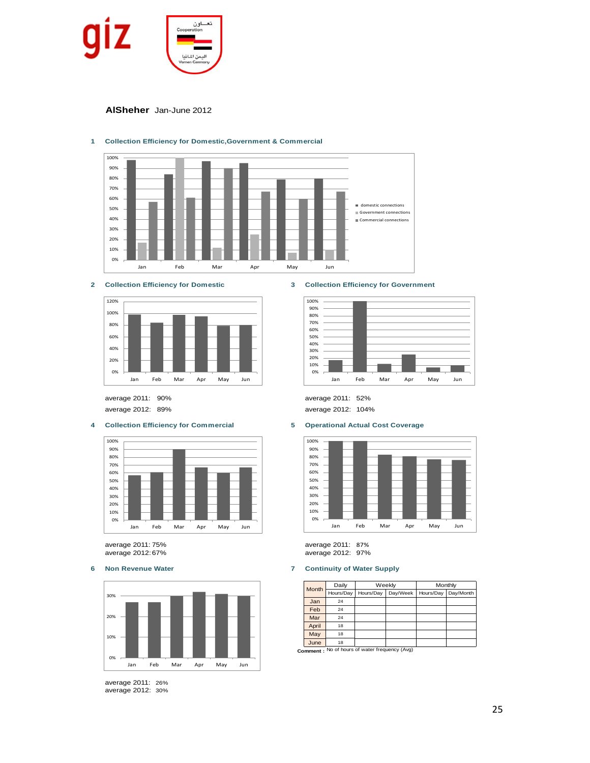

### **AlSheher** Jan-June 2012



### **1 Collection Efficiency for Domestic,Government & Commercial**





average 2012: 89% average 2012: 104%

#### **4 Collection Efficiency for Commercial 5 Operational Actual Cost Coverage**



average 2011: 75% average 2011: 87% average 2012:67% average 2012: 97%



average 2011: 26% average 2012: 30%

#### **2 Collection Efficiency for Domestic 3 Collection Efficiency for Government**



average 2011: 90% average 2011: 52%



#### **6 Non Revenue Water 7 Continuity of Water Supply**

| Month | Daily     |           | Weekly   | Monthly   |           |  |  |
|-------|-----------|-----------|----------|-----------|-----------|--|--|
|       | Hours/Day | Hours/Day | Day/Week | Hours/Day | Day/Month |  |  |
| Jan   | 24        |           |          |           |           |  |  |
| Feb   | 24        |           |          |           |           |  |  |
| Mar   | 24        |           |          |           |           |  |  |
| April | 18        |           |          |           |           |  |  |
| May   | 18        |           |          |           |           |  |  |
| June  | 18        |           |          |           |           |  |  |

**Comment :** No of hours of water frequency (Avg)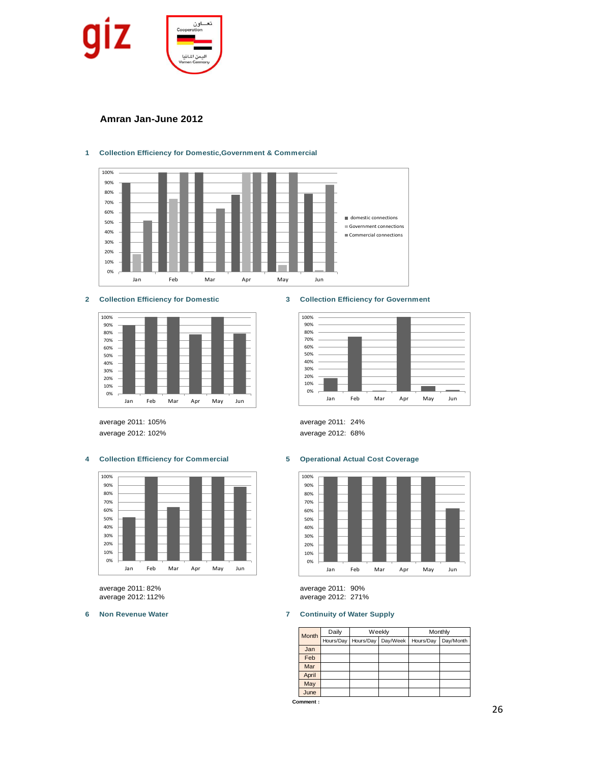

## **Amran Jan-June 2012**



### **1 Collection Efficiency for Domestic,Government & Commercial**



average 2012: 102% average 2012: 68%

### **4 Collection Efficiency for Commercial 5 Operational Actual Cost Coverage**



#### **2 Collection Efficiency for Domestic 3 Collection Efficiency for Government**







average 2011: 82% average 2011: 90% average 2012: 112% average 2012: 271%

### **6 Non Revenue Water 7 Continuity of Water Supply**

| Month | Daily     |           | Weekly   | Monthly   |           |  |  |
|-------|-----------|-----------|----------|-----------|-----------|--|--|
|       | Hours/Day | Hours/Day | Day/Week | Hours/Day | Day/Month |  |  |
| Jan   |           |           |          |           |           |  |  |
| Feb   |           |           |          |           |           |  |  |
| Mar   |           |           |          |           |           |  |  |
| April |           |           |          |           |           |  |  |
| May   |           |           |          |           |           |  |  |
| June  |           |           |          |           |           |  |  |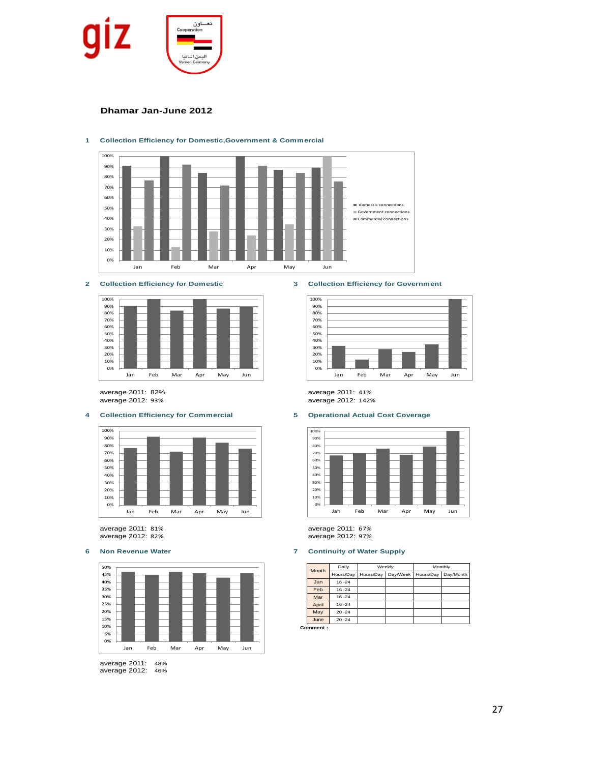

### **Dhamar Jan-June 2012**



### **1 Collection Efficiency for Domestic,Government & Commercial**



#### **4 Collection Efficiency for Commercial 5 Operational Actual Cost Coverage**



average 2011: 81% average 2011: 67%



average 2011: 48% average 2012: 46%

**2 Collection Efficiency for Domestic 3 Collection Efficiency for Government**



average 2011: 82% average 2011: 41% average 2012: 142%



average 2012: 82% average 2012: 97%

### **6 Non Revenue Water 7 Continuity of Water Supply**

| Month | Daily     |           | Weekly   | Monthly   |           |  |  |
|-------|-----------|-----------|----------|-----------|-----------|--|--|
|       | Hours/Day | Hours/Day | Day/Week | Hours/Day | Day/Month |  |  |
| Jan   | $16 - 24$ |           |          |           |           |  |  |
| Feb   | $16 - 24$ |           |          |           |           |  |  |
| Mar   | $16 - 24$ |           |          |           |           |  |  |
| April | $16 - 24$ |           |          |           |           |  |  |
| May   | $20 - 24$ |           |          |           |           |  |  |
| June  | $20 - 24$ |           |          |           |           |  |  |
|       |           |           |          |           |           |  |  |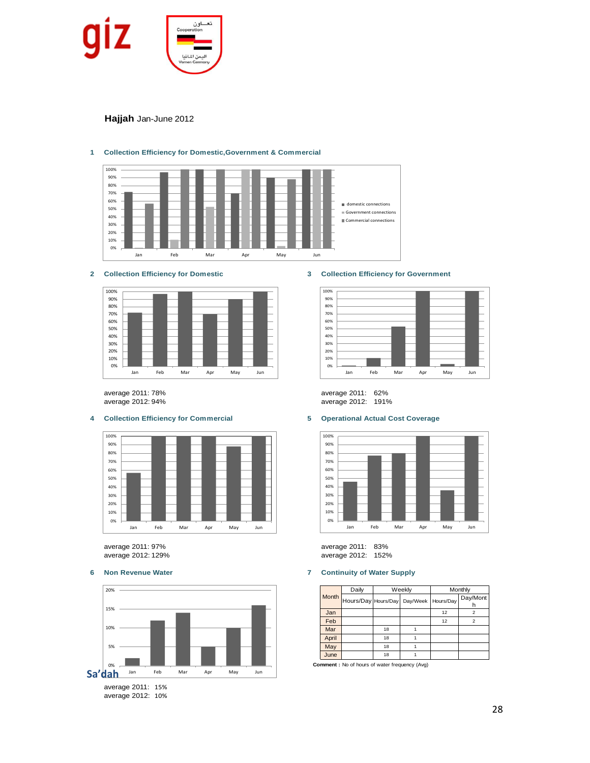

### **Hajjah** Jan-June 2012



### **1 Collection Efficiency for Domestic,Government & Commercial**

#### **2 Collection Efficiency for Domestic 3 Collection Efficiency for Government**



### **4 Collection Efficiency for Commercial 5 Operational Actual Cost Coverage**



average 2011: 97% average 2011: 83%





average 2011: 78% average 2011: 62% average 2012: 191%



average 2012: 152%

### **6 Non Revenue Water 7 Continuity of Water Supply**

|       | Daily               |    | Weekly             | Monthly |               |  |
|-------|---------------------|----|--------------------|---------|---------------|--|
| Month | Hours/Day Hours/Day |    | Day/Week Hours/Day |         | Day/Mont<br>n |  |
| Jan   |                     |    |                    | 12      | 2             |  |
| Feb   |                     |    |                    | 12      | 2             |  |
| Mar   |                     | 18 |                    |         |               |  |
| April |                     | 18 |                    |         |               |  |
| May   |                     | 18 |                    |         |               |  |
| June  | 18                  |    |                    |         |               |  |

**Comment :** No of hours of water frequency (Avg)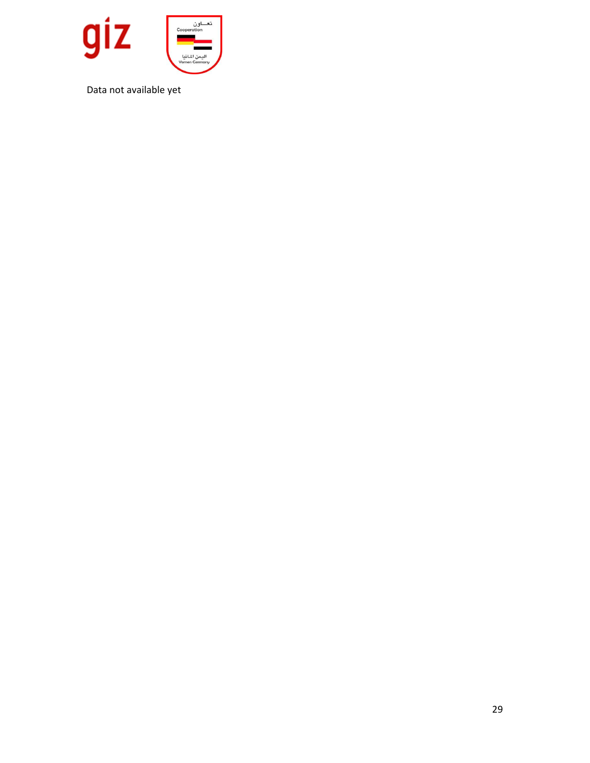

Data not available yet